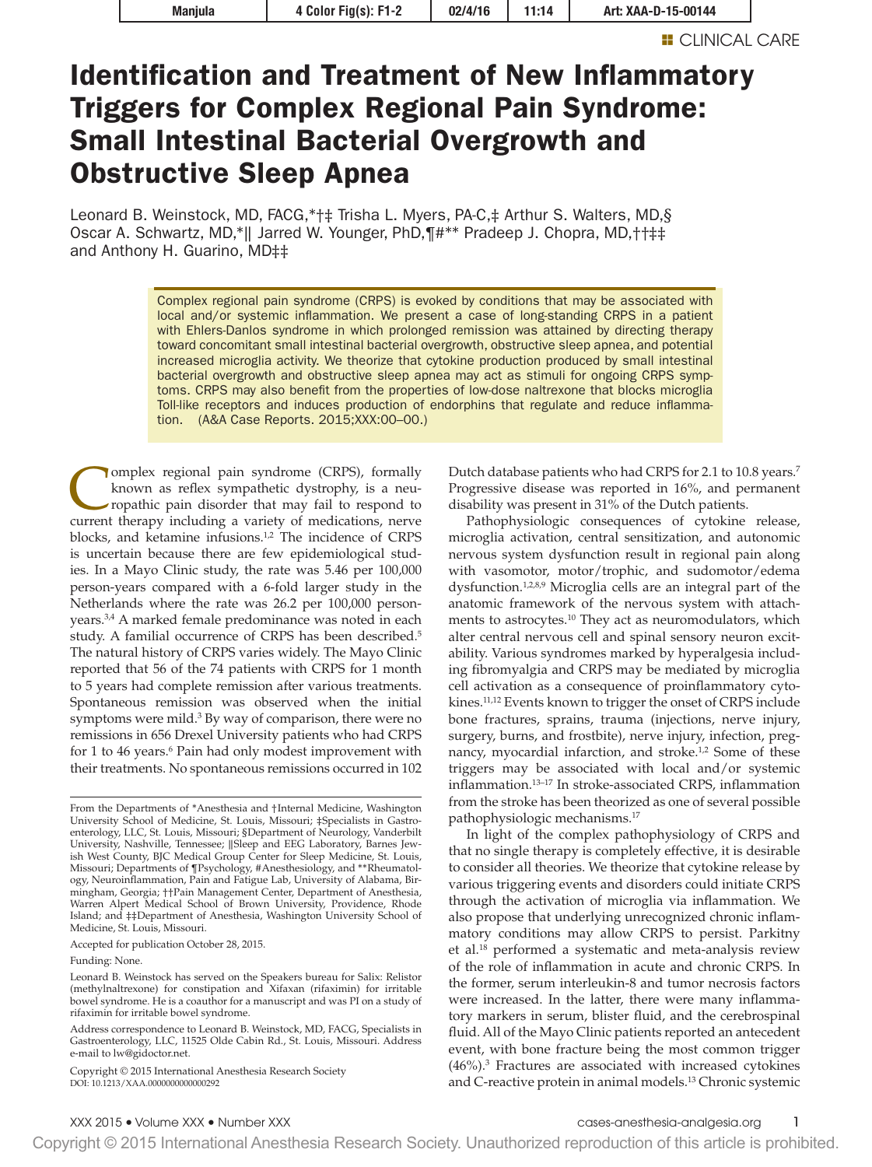# Identification and Treatment of New Inflammatory Triggers for Complex Regional Pain Syndrome: Small Intestinal Bacterial Overgrowth and Obstructive Sleep Apnea

Leonard B. Weinstock, MD, FACG,\*†‡ Trisha L. Myers, PA-C,‡ Arthur S. Walters, MD,§ Oscar A. Schwartz, MD,\*‖ Jarred W. Younger, PhD,¶#\*\* Pradeep J. Chopra, MD,††‡‡ and Anthony H. Guarino, MD‡‡

> Complex regional pain syndrome (CRPS) is evoked by conditions that may be associated with local and/or systemic inflammation. We present a case of long-standing CRPS in a patient with Ehlers-Danlos syndrome in which prolonged remission was attained by directing therapy toward concomitant small intestinal bacterial overgrowth, obstructive sleep apnea, and potential increased microglia activity. We theorize that cytokine production produced by small intestinal bacterial overgrowth and obstructive sleep apnea may act as stimuli for ongoing CRPS symptoms. CRPS may also benefit from the properties of low-dose naltrexone that blocks microglia Toll-like receptors and induces production of endorphins that regulate and reduce inflammation. (A&A Case Reports. 2015;XXX:00–00.)

I omplex regional pain syndrome (CRPS), formally known as reflex sympathetic dystrophy, is a neuropathic pain disorder that may fail to respond to current therapy including a variety of medications, nerve blocks, and ketamine infusions.<sup>1,2</sup> The incidence of CRPS is uncertain because there are few epidemiological studies. In a Mayo Clinic study, the rate was 5.46 per 100,000 person-years compared with a 6-fold larger study in the Netherlands where the rate was 26.2 per 100,000 personyears.<sup>3,4</sup> A marked female predominance was noted in each study. A familial occurrence of CRPS has been described.<sup>5</sup> The natural history of CRPS varies widely. The Mayo Clinic reported that 56 of the 74 patients with CRPS for 1 month to 5 years had complete remission after various treatments. Spontaneous remission was observed when the initial symptoms were mild.<sup>3</sup> By way of comparison, there were no remissions in 656 Drexel University patients who had CRPS for 1 to 46 years.<sup>6</sup> Pain had only modest improvement with their treatments. No spontaneous remissions occurred in 102

Accepted for publication October 28, 2015.

Funding: None.

Copyright © 2015 International Anesthesia Research Society DOI: 10.1213/XAA.0000000000000292

Dutch database patients who had CRPS for 2.1 to 10.8 years.<sup>7</sup> Progressive disease was reported in 16%, and permanent disability was present in 31% of the Dutch patients.

Pathophysiologic consequences of cytokine release, microglia activation, central sensitization, and autonomic nervous system dysfunction result in regional pain along with vasomotor, motor/trophic, and sudomotor/edema dysfunction.<sup>1,2,8,9</sup> Microglia cells are an integral part of the anatomic framework of the nervous system with attachments to astrocytes.10 They act as neuromodulators, which alter central nervous cell and spinal sensory neuron excitability. Various syndromes marked by hyperalgesia including fibromyalgia and CRPS may be mediated by microglia cell activation as a consequence of proinflammatory cytokines.11,12 Events known to trigger the onset of CRPS include bone fractures, sprains, trauma (injections, nerve injury, surgery, burns, and frostbite), nerve injury, infection, pregnancy, myocardial infarction, and stroke.<sup>1,2</sup> Some of these triggers may be associated with local and/or systemic inflammation.13–17 In stroke-associated CRPS, inflammation from the stroke has been theorized as one of several possible pathophysiologic mechanisms.17

In light of the complex pathophysiology of CRPS and that no single therapy is completely effective, it is desirable to consider all theories. We theorize that cytokine release by various triggering events and disorders could initiate CRPS through the activation of microglia via inflammation. We also propose that underlying unrecognized chronic inflammatory conditions may allow CRPS to persist. Parkitny et al.18 performed a systematic and meta-analysis review of the role of inflammation in acute and chronic CRPS. In the former, serum interleukin-8 and tumor necrosis factors were increased. In the latter, there were many inflammatory markers in serum, blister fluid, and the cerebrospinal fluid. All of the Mayo Clinic patients reported an antecedent event, with bone fracture being the most common trigger (46%).3 Fractures are associated with increased cytokines and C-reactive protein in animal models.13 Chronic systemic

Copyright © 2015 International Anesthesia Research Society. Unauthorized reproduction of this article is prohibited.

From the Departments of \*Anesthesia and †Internal Medicine, Washington University School of Medicine, St. Louis, Missouri; ‡Specialists in Gastroenterology, LLC, St. Louis, Missouri; §Department of Neurology, Vanderbilt University, Nashville, Tennessee; ||Sleep and EEG Laboratory, Barnes Jew-<br>ish West County, BJC Medical Group Center for Sleep Medicine, St. Louis, Missouri; Departments of ¶Psychology, #Anesthesiology, and \*\*Rheumatology, Neuroinflammation, Pain and Fatigue Lab, University of Alabama, Birmingham, Georgia; ††Pain Management Center, Department of Anesthesia, Warren Alpert Medical School of Brown University, Providence, Rhode Island; and ‡‡Department of Anesthesia, Washington University School of Medicine, St. Louis, Missouri.

Leonard B. Weinstock has served on the Speakers bureau for Salix: Relistor (methylnaltrexone) for constipation and Xifaxan (rifaximin) for irritable bowel syndrome. He is a coauthor for a manuscript and was PI on a study of rifaximin for irritable bowel syndrome.

Address correspondence to Leonard B. Weinstock, MD, FACG, Specialists in Gastroenterology, LLC, 11525 Olde Cabin Rd., St. Louis, Missouri. Address e-mail to [lw@gidoctor.net.](mailto:lw@gidoctor.net)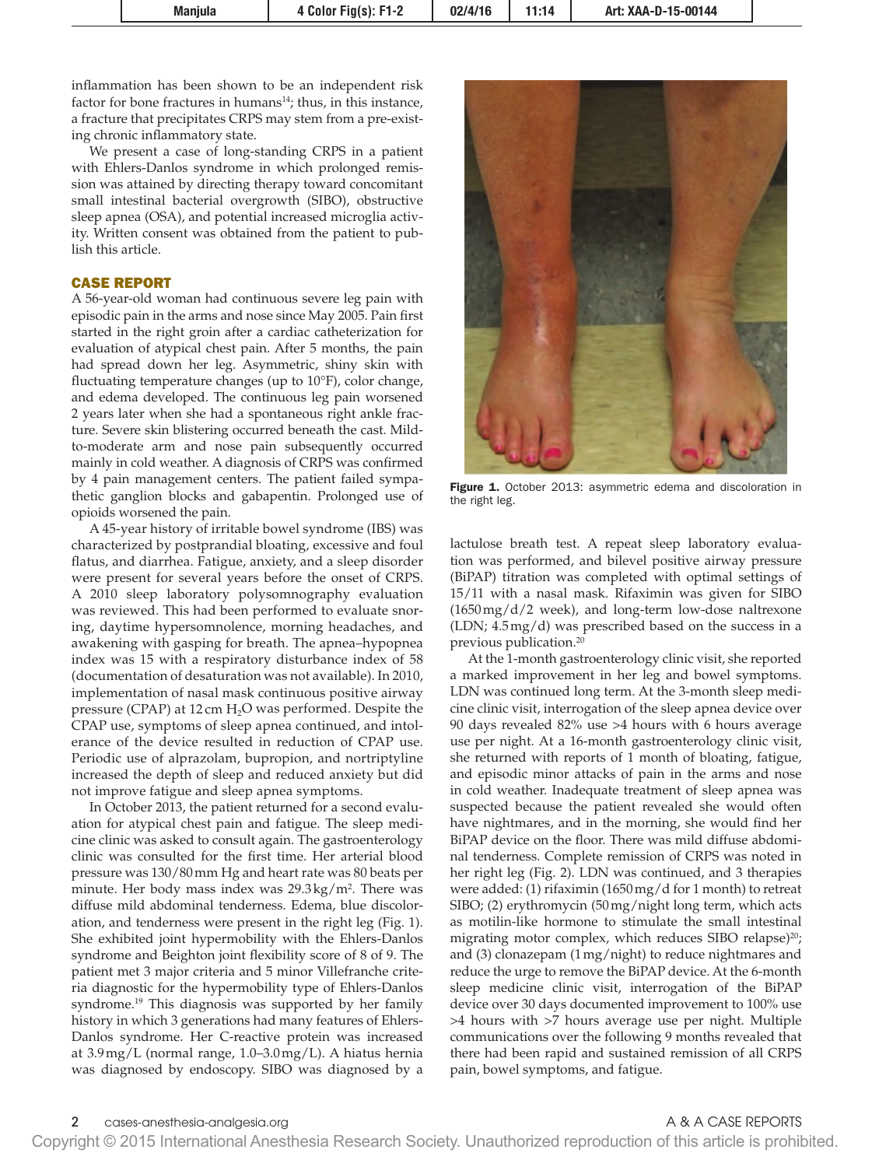inflammation has been shown to be an independent risk factor for bone fractures in humans $14$ ; thus, in this instance, a fracture that precipitates CRPS may stem from a pre-existing chronic inflammatory state.

We present a case of long-standing CRPS in a patient with Ehlers-Danlos syndrome in which prolonged remission was attained by directing therapy toward concomitant small intestinal bacterial overgrowth (SIBO), obstructive sleep apnea (OSA), and potential increased microglia activity. Written consent was obtained from the patient to publish this article.

## CASE REPORT

A 56-year-old woman had continuous severe leg pain with episodic pain in the arms and nose since May 2005. Pain first started in the right groin after a cardiac catheterization for evaluation of atypical chest pain. After 5 months, the pain had spread down her leg. Asymmetric, shiny skin with fluctuating temperature changes (up to 10°F), color change, and edema developed. The continuous leg pain worsened 2 years later when she had a spontaneous right ankle fracture. Severe skin blistering occurred beneath the cast. Mildto-moderate arm and nose pain subsequently occurred mainly in cold weather. A diagnosis of CRPS was confirmed by 4 pain management centers. The patient failed sympathetic ganglion blocks and gabapentin. Prolonged use of opioids worsened the pain.

A 45-year history of irritable bowel syndrome (IBS) was characterized by postprandial bloating, excessive and foul flatus, and diarrhea. Fatigue, anxiety, and a sleep disorder were present for several years before the onset of CRPS. A 2010 sleep laboratory polysomnography evaluation was reviewed. This had been performed to evaluate snoring, daytime hypersomnolence, morning headaches, and awakening with gasping for breath. The apnea–hypopnea index was 15 with a respiratory disturbance index of 58 (documentation of desaturation was not available). In 2010, implementation of nasal mask continuous positive airway pressure (CPAP) at 12 cm H<sub>2</sub>O was performed. Despite the CPAP use, symptoms of sleep apnea continued, and intolerance of the device resulted in reduction of CPAP use. Periodic use of alprazolam, bupropion, and nortriptyline increased the depth of sleep and reduced anxiety but did not improve fatigue and sleep apnea symptoms.

In October 2013, the patient returned for a second evaluation for atypical chest pain and fatigue. The sleep medicine clinic was asked to consult again. The gastroenterology clinic was consulted for the first time. Her arterial blood pressure was 130/80mm Hg and heart rate was 80 beats per minute. Her body mass index was 29.3kg/m2 . There was diffuse mild abdominal tenderness. Edema, blue discoloration, and tenderness were present in the right leg (Fig. 1). She exhibited joint hypermobility with the Ehlers-Danlos syndrome and Beighton joint flexibility score of 8 of 9. The patient met 3 major criteria and 5 minor Villefranche criteria diagnostic for the hypermobility type of Ehlers-Danlos syndrome.19 This diagnosis was supported by her family history in which 3 generations had many features of Ehlers-Danlos syndrome. Her C-reactive protein was increased at 3.9mg/L (normal range, 1.0–3.0mg/L). A hiatus hernia was diagnosed by endoscopy. SIBO was diagnosed by a



Figure 1. October 2013: asymmetric edema and discoloration in the right leg.

lactulose breath test. A repeat sleep laboratory evaluation was performed, and bilevel positive airway pressure (BiPAP) titration was completed with optimal settings of 15/11 with a nasal mask. Rifaximin was given for SIBO  $(1650 \,\text{mg}/\text{d}/2 \,\text{week})$ , and long-term low-dose naltrexone (LDN; 4.5mg/d) was prescribed based on the success in a previous publication.<sup>20</sup>

At the 1-month gastroenterology clinic visit, she reported a marked improvement in her leg and bowel symptoms. LDN was continued long term. At the 3-month sleep medicine clinic visit, interrogation of the sleep apnea device over 90 days revealed 82% use >4 hours with 6 hours average use per night. At a 16-month gastroenterology clinic visit, she returned with reports of 1 month of bloating, fatigue, and episodic minor attacks of pain in the arms and nose in cold weather. Inadequate treatment of sleep apnea was suspected because the patient revealed she would often have nightmares, and in the morning, she would find her BiPAP device on the floor. There was mild diffuse abdominal tenderness. Complete remission of CRPS was noted in her right leg (Fig. 2). LDN was continued, and 3 therapies were added: (1) rifaximin (1650mg/d for 1 month) to retreat SIBO; (2) erythromycin (50mg/night long term, which acts as motilin-like hormone to stimulate the small intestinal migrating motor complex, which reduces SIBO relapse)<sup>20</sup>; and (3) clonazepam (1mg/night) to reduce nightmares and reduce the urge to remove the BiPAP device. At the 6-month sleep medicine clinic visit, interrogation of the BiPAP device over 30 days documented improvement to 100% use >4 hours with >7 hours average use per night. Multiple communications over the following 9 months revealed that there had been rapid and sustained remission of all CRPS pain, bowel symptoms, and fatigue.

2 cases-anesthesia-analgesia.org A & A CASE REPORTS

Copyright © 2015 International Anesthesia Research Society. Unauthorized reproduction of this article is prohibited.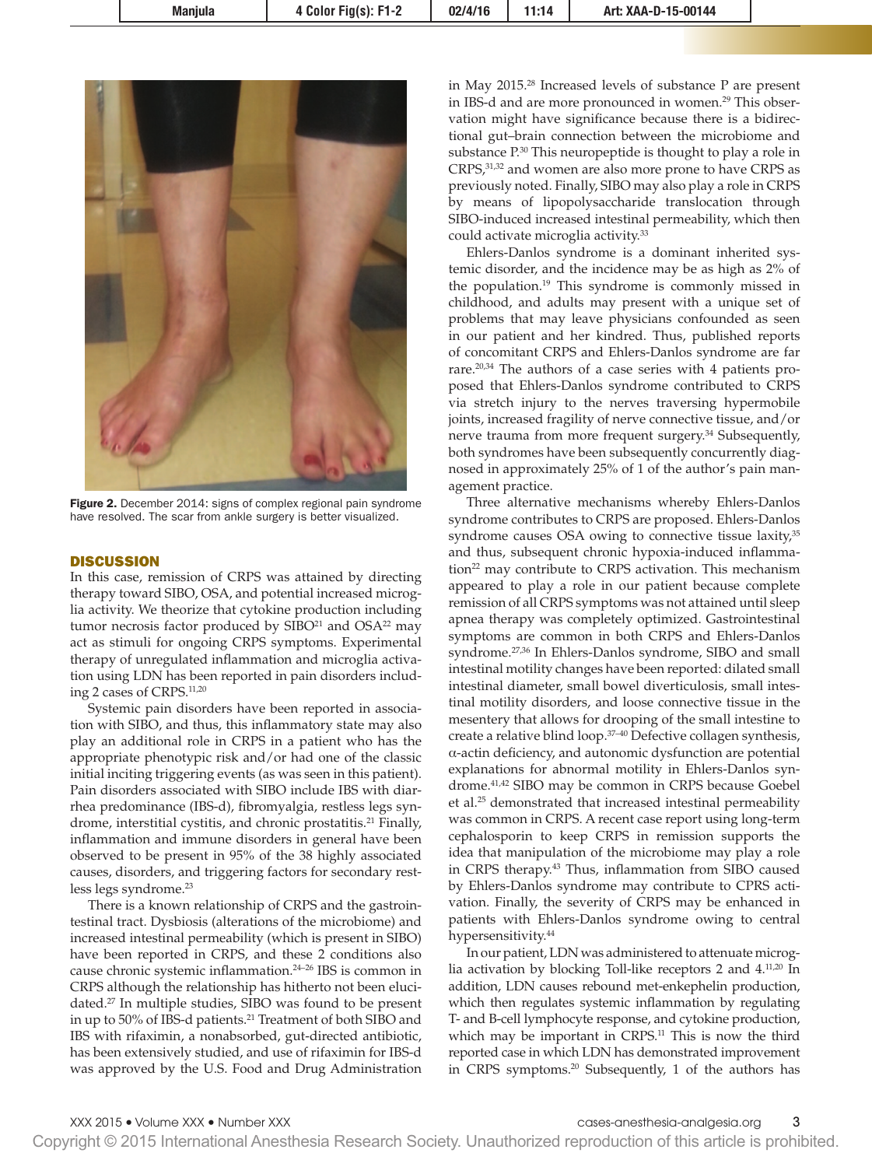

Figure 2. December 2014: signs of complex regional pain syndrome have resolved. The scar from ankle surgery is better visualized.

### **DISCUSSION**

In this case, remission of CRPS was attained by directing therapy toward SIBO, OSA, and potential increased microglia activity. We theorize that cytokine production including tumor necrosis factor produced by  $SHBO<sup>21</sup>$  and  $OSA<sup>22</sup>$  may act as stimuli for ongoing CRPS symptoms. Experimental therapy of unregulated inflammation and microglia activation using LDN has been reported in pain disorders including 2 cases of CRPS.11,20

Systemic pain disorders have been reported in association with SIBO, and thus, this inflammatory state may also play an additional role in CRPS in a patient who has the appropriate phenotypic risk and/or had one of the classic initial inciting triggering events (as was seen in this patient). Pain disorders associated with SIBO include IBS with diarrhea predominance (IBS-d), fibromyalgia, restless legs syndrome, interstitial cystitis, and chronic prostatitis.<sup>21</sup> Finally, inflammation and immune disorders in general have been observed to be present in 95% of the 38 highly associated causes, disorders, and triggering factors for secondary restless legs syndrome.<sup>23</sup>

There is a known relationship of CRPS and the gastrointestinal tract. Dysbiosis (alterations of the microbiome) and increased intestinal permeability (which is present in SIBO) have been reported in CRPS, and these 2 conditions also cause chronic systemic inflammation.24–26 IBS is common in CRPS although the relationship has hitherto not been elucidated.27 In multiple studies, SIBO was found to be present in up to 50% of IBS-d patients.21 Treatment of both SIBO and IBS with rifaximin, a nonabsorbed, gut-directed antibiotic, has been extensively studied, and use of rifaximin for IBS-d was approved by the U.S. Food and Drug Administration

in May 2015.28 Increased levels of substance P are present in IBS-d and are more pronounced in women.29 This observation might have significance because there is a bidirectional gut–brain connection between the microbiome and substance  $P^{30}$  This neuropeptide is thought to play a role in CRPS,31,32 and women are also more prone to have CRPS as previously noted. Finally, SIBO may also play a role in CRPS by means of lipopolysaccharide translocation through SIBO-induced increased intestinal permeability, which then could activate microglia activity.33

Ehlers-Danlos syndrome is a dominant inherited systemic disorder, and the incidence may be as high as 2% of the population.19 This syndrome is commonly missed in childhood, and adults may present with a unique set of problems that may leave physicians confounded as seen in our patient and her kindred. Thus, published reports of concomitant CRPS and Ehlers-Danlos syndrome are far rare.20,34 The authors of a case series with 4 patients proposed that Ehlers-Danlos syndrome contributed to CRPS via stretch injury to the nerves traversing hypermobile joints, increased fragility of nerve connective tissue, and/or nerve trauma from more frequent surgery.<sup>34</sup> Subsequently, both syndromes have been subsequently concurrently diagnosed in approximately 25% of 1 of the author's pain management practice.

Three alternative mechanisms whereby Ehlers-Danlos syndrome contributes to CRPS are proposed. Ehlers-Danlos syndrome causes OSA owing to connective tissue laxity,<sup>35</sup> and thus, subsequent chronic hypoxia-induced inflammation<sup>22</sup> may contribute to CRPS activation. This mechanism appeared to play a role in our patient because complete remission of all CRPS symptoms was not attained until sleep apnea therapy was completely optimized. Gastrointestinal symptoms are common in both CRPS and Ehlers-Danlos syndrome.27,36 In Ehlers-Danlos syndrome, SIBO and small intestinal motility changes have been reported: dilated small intestinal diameter, small bowel diverticulosis, small intestinal motility disorders, and loose connective tissue in the mesentery that allows for drooping of the small intestine to create a relative blind loop.37–40 Defective collagen synthesis, α-actin deficiency, and autonomic dysfunction are potential explanations for abnormal motility in Ehlers-Danlos syndrome.41,42 SIBO may be common in CRPS because Goebel et al.25 demonstrated that increased intestinal permeability was common in CRPS. A recent case report using long-term cephalosporin to keep CRPS in remission supports the idea that manipulation of the microbiome may play a role in CRPS therapy.43 Thus, inflammation from SIBO caused by Ehlers-Danlos syndrome may contribute to CPRS activation. Finally, the severity of CRPS may be enhanced in patients with Ehlers-Danlos syndrome owing to central hypersensitivity.<sup>44</sup>

In our patient, LDN was administered to attenuate microglia activation by blocking Toll-like receptors 2 and 4.11,20 In addition, LDN causes rebound met-enkephelin production, which then regulates systemic inflammation by regulating T- and B-cell lymphocyte response, and cytokine production, which may be important in CRPS.<sup>11</sup> This is now the third reported case in which LDN has demonstrated improvement in CRPS symptoms.20 Subsequently, 1 of the authors has

XXX 2015 • Volume XXX • Number XXX cases-anesthesia-analgesia.org 3

Copyright © 2015 International Anesthesia Research Society. Unauthorized reproduction of this article is prohibited.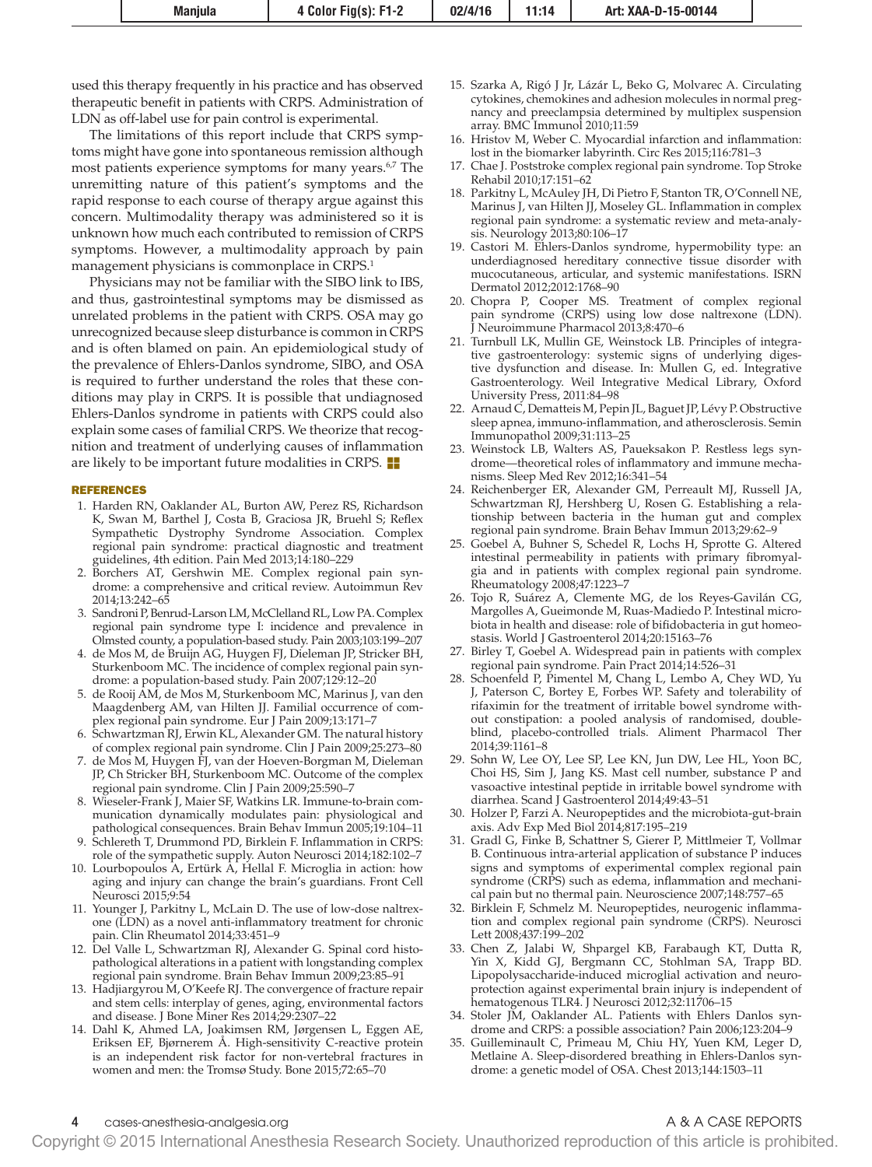used this therapy frequently in his practice and has observed therapeutic benefit in patients with CRPS. Administration of LDN as off-label use for pain control is experimental.

The limitations of this report include that CRPS symptoms might have gone into spontaneous remission although most patients experience symptoms for many years.<sup>6,7</sup> The unremitting nature of this patient's symptoms and the rapid response to each course of therapy argue against this concern. Multimodality therapy was administered so it is unknown how much each contributed to remission of CRPS symptoms. However, a multimodality approach by pain management physicians is commonplace in CRPS.<sup>1</sup>

Physicians may not be familiar with the SIBO link to IBS, and thus, gastrointestinal symptoms may be dismissed as unrelated problems in the patient with CRPS. OSA may go unrecognized because sleep disturbance is common in CRPS and is often blamed on pain. An epidemiological study of the prevalence of Ehlers-Danlos syndrome, SIBO, and OSA is required to further understand the roles that these conditions may play in CRPS. It is possible that undiagnosed Ehlers-Danlos syndrome in patients with CRPS could also explain some cases of familial CRPS. We theorize that recognition and treatment of underlying causes of inflammation are likely to be important future modalities in CRPS.  $\blacksquare$ 

### REFERENCES

- 1. Harden RN, Oaklander AL, Burton AW, Perez RS, Richardson K, Swan M, Barthel J, Costa B, Graciosa JR, Bruehl S; Reflex Sympathetic Dystrophy Syndrome Association. Complex regional pain syndrome: practical diagnostic and treatment guidelines, 4th edition. Pain Med 2013;14:180–229
- 2. Borchers AT, Gershwin ME. Complex regional pain syndrome: a comprehensive and critical review. Autoimmun Rev 2014;13:242–65
- 3. Sandroni P, Benrud-Larson LM, McClelland RL, Low PA. Complex regional pain syndrome type I: incidence and prevalence in Olmsted county, a population-based study. Pain 2003;103:199–207
- 4. de Mos M, de Bruijn AG, Huygen FJ, Dieleman JP, Stricker BH, Sturkenboom MC. The incidence of complex regional pain syndrome: a population-based study. Pain 2007;129:12–20
- 5. de Rooij AM, de Mos M, Sturkenboom MC, Marinus J, van den Maagdenberg AM, van Hilten JJ. Familial occurrence of complex regional pain syndrome. Eur J Pain 2009;13:171–7
- 6. Schwartzman RJ, Erwin KL, Alexander GM. The natural history of complex regional pain syndrome. Clin J Pain 2009;25:273–80
- 7. de Mos M, Huygen FJ, van der Hoeven-Borgman M, Dieleman JP, Ch Stricker BH, Sturkenboom MC. Outcome of the complex regional pain syndrome. Clin J Pain 2009;25:590–7
- 8. Wieseler-Frank J, Maier SF, Watkins LR. Immune-to-brain communication dynamically modulates pain: physiological and pathological consequences. Brain Behav Immun 2005;19:104–11
- 9. Schlereth T, Drummond PD, Birklein F. Inflammation in CRPS: role of the sympathetic supply. Auton Neurosci 2014;182:102–7
- 10. Lourbopoulos A, Ertürk A, Hellal F. Microglia in action: how aging and injury can change the brain's guardians. Front Cell Neurosci 2015;9:54
- 11. Younger J, Parkitny L, McLain D. The use of low-dose naltrexone (LDN) as a novel anti-inflammatory treatment for chronic pain. Clin Rheumatol 2014;33:451–9
- 12. Del Valle L, Schwartzman RJ, Alexander G. Spinal cord histopathological alterations in a patient with longstanding complex regional pain syndrome. Brain Behav Immun 2009;23:85–91
- 13. Hadjiargyrou M, O'Keefe RJ. The convergence of fracture repair and stem cells: interplay of genes, aging, environmental factors and disease. J Bone Miner Res 2014;29:2307–22
- 14. Dahl K, Ahmed LA, Joakimsen RM, Jørgensen L, Eggen AE, Eriksen EF, Bjørnerem Å. High-sensitivity C-reactive protein is an independent risk factor for non-vertebral fractures in women and men: the Tromsø Study. Bone 2015;72:65–70
- 15. Szarka A, Rigó J Jr, Lázár L, Beko G, Molvarec A. Circulating cytokines, chemokines and adhesion molecules in normal pregnancy and preeclampsia determined by multiplex suspension array. BMC Immunol 2010;11:59
- 16. Hristov M, Weber C. Myocardial infarction and inflammation: lost in the biomarker labyrinth. Circ Res 2015;116:781–3
- 17. Chae J. Poststroke complex regional pain syndrome. Top Stroke Rehabil 2010;17:151–62
- 18. Parkitny L, McAuley JH, Di Pietro F, Stanton TR, O'Connell NE, Marinus J, van Hilten JJ, Moseley GL. Inflammation in complex regional pain syndrome: a systematic review and meta-analysis. Neurology 2013;80:106–17
- 19. Castori M. Ehlers-Danlos syndrome, hypermobility type: an underdiagnosed hereditary connective tissue disorder with mucocutaneous, articular, and systemic manifestations. ISRN Dermatol 2012;2012:1768–90
- 20. Chopra P, Cooper MS. Treatment of complex regional pain syndrome (CRPS) using low dose naltrexone (LDN). J Neuroimmune Pharmacol 2013;8:470–6
- 21. Turnbull LK, Mullin GE, Weinstock LB. Principles of integrative gastroenterology: systemic signs of underlying digestive dysfunction and disease. In: Mullen G, ed. Integrative Gastroenterology. Weil Integrative Medical Library, Oxford University Press, 2011:84–98
- 22. Arnaud C, Dematteis M, Pepin JL, Baguet JP, Lévy P. Obstructive sleep apnea, immuno-inflammation, and atherosclerosis. Semin Immunopathol 2009;31:113–25
- 23. Weinstock LB, Walters AS, Paueksakon P. Restless legs syndrome—theoretical roles of inflammatory and immune mechanisms. Sleep Med Rev 2012;16:341–54
- 24. Reichenberger ER, Alexander GM, Perreault MJ, Russell JA, Schwartzman RJ, Hershberg U, Rosen G. Establishing a relationship between bacteria in the human gut and complex regional pain syndrome. Brain Behav Immun 2013;29:62–9
- 25. Goebel A, Buhner S, Schedel R, Lochs H, Sprotte G. Altered intestinal permeability in patients with primary fibromyalgia and in patients with complex regional pain syndrome. Rheumatology 2008;47:1223–7
- 26. Tojo R, Suárez A, Clemente MG, de los Reyes-Gavilán CG, Margolles A, Gueimonde M, Ruas-Madiedo P. Intestinal microbiota in health and disease: role of bifidobacteria in gut homeostasis. World J Gastroenterol 2014;20:15163–76
- 27. Birley T, Goebel A. Widespread pain in patients with complex regional pain syndrome. Pain Pract 2014;14:526–31
- 28. Schoenfeld P, Pimentel M, Chang L, Lembo A, Chey WD, Yu J, Paterson C, Bortey E, Forbes WP. Safety and tolerability of rifaximin for the treatment of irritable bowel syndrome without constipation: a pooled analysis of randomised, doubleblind, placebo-controlled trials. Aliment Pharmacol Ther 2014;39:1161–8
- 29. Sohn W, Lee OY, Lee SP, Lee KN, Jun DW, Lee HL, Yoon BC, Choi HS, Sim J, Jang KS. Mast cell number, substance P and vasoactive intestinal peptide in irritable bowel syndrome with diarrhea. Scand J Gastroenterol 2014;49:43–51
- 30. Holzer P, Farzi A. Neuropeptides and the microbiota-gut-brain axis. Adv Exp Med Biol 2014;817:195–219
- 31. Gradl G, Finke B, Schattner S, Gierer P, Mittlmeier T, Vollmar B. Continuous intra-arterial application of substance P induces signs and symptoms of experimental complex regional pain syndrome (CRPS) such as edema, inflammation and mechanical pain but no thermal pain. Neuroscience 2007;148:757–65
- 32. Birklein F, Schmelz M. Neuropeptides, neurogenic inflammation and complex regional pain syndrome (CRPS). Neurosci Lett 2008;437:199–202
- 33. Chen Z, Jalabi W, Shpargel KB, Farabaugh KT, Dutta R, Yin X, Kidd GJ, Bergmann CC, Stohlman SA, Trapp BD. Lipopolysaccharide-induced microglial activation and neuroprotection against experimental brain injury is independent of hematogenous TLR4. J Neurosci 2012;32:11706–15
- 34. Stoler JM, Oaklander AL. Patients with Ehlers Danlos syndrome and CRPS: a possible association? Pain 2006;123:204–9
- 35. Guilleminault C, Primeau M, Chiu HY, Yuen KM, Leger D, Metlaine A. Sleep-disordered breathing in Ehlers-Danlos syndrome: a genetic model of OSA. Chest 2013;144:1503–11

Copyright © 2015 International Anesthesia Research Society. Unauthorized reproduction of this article is prohibited.